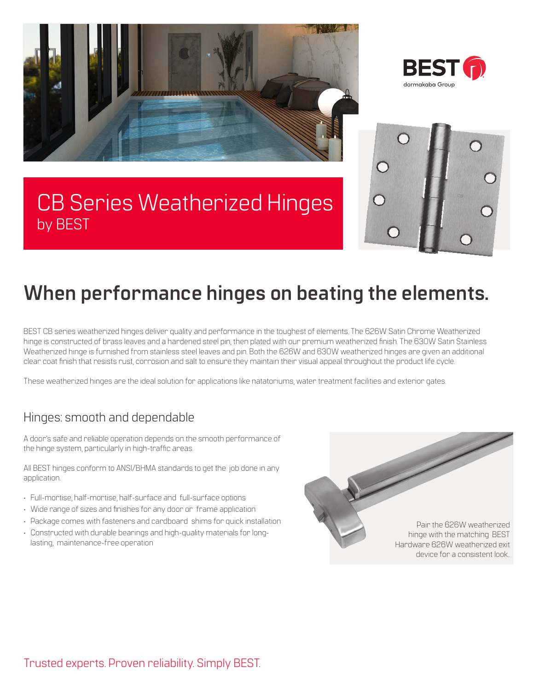





## CB Series Weatherized Hinges by BEST

# **When performance hinges on beating the elements.**

BEST CB series weatherized hinges deliver quality and performance in the toughest of elements. The 626W Satin Chrome Weatherized hinge is constructed of brass leaves and a hardened steel pin, then plated with our premium weatherized finish. The 630W Satin Stainless Weatherized hinge is furnished from stainless steel leaves and pin. Both the 626W and 630W weatherized hinges are given an additional clear coat finish that resists rust, corrosion and salt to ensure they maintain their visual appeal throughout the product life cycle.

These weatherized hinges are the ideal solution for applications like natatoriums, water treatment facilities and exterior gates.

### Hinges: smooth and dependable

A door's safe and reliable operation depends on the smooth performance of the hinge system, particularly in high-traffic areas.

All BEST hinges conform to ANSI/BHMA standards to get the job done in any application.

- Full-mortise, half-mortise, half-surface and full-surface options
- Wide range of sizes and finishes for any door or frame application
- Package comes with fasteners and cardboard shims for quick installation
- Constructed with durable bearings and high-quality materials for longlasting, maintenance-free operation

Pair the 626W weatherized hinge with the matching BEST Hardware 626W weatherized exit device for a consistent look..

Trusted experts. Proven reliability. Simply BEST.